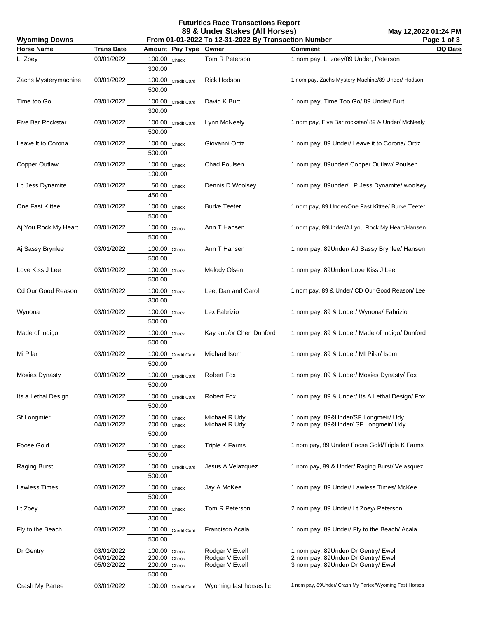**Futurities Race Transactions Report 89 & Under Stakes (All Horses)**

**May 12,2022 01:24 PM Page 1 of 3**

| <b>Wyoming Downs</b> |                                        | From 01-01-2022 To 12-31-2022 By Transaction Number    | Page 1 of 3                                        |                                                                                                                      |         |
|----------------------|----------------------------------------|--------------------------------------------------------|----------------------------------------------------|----------------------------------------------------------------------------------------------------------------------|---------|
| <b>Horse Name</b>    | <b>Trans Date</b>                      | Amount Pay Type                                        | Owner                                              | <b>Comment</b>                                                                                                       | DQ Date |
| Lt Zoey              | 03/01/2022                             | 100.00 Check<br>300.00                                 | Tom R Peterson                                     | 1 nom pay, Lt zoey/89 Under, Peterson                                                                                |         |
| Zachs Mysterymachine | 03/01/2022                             | 100.00 Credit Card<br>500.00                           | Rick Hodson                                        | 1 nom pay, Zachs Mystery Machine/89 Under/ Hodson                                                                    |         |
| Time too Go          | 03/01/2022                             | 100.00 Credit Card<br>300.00                           | David K Burt                                       | 1 nom pay, Time Too Go/ 89 Under/ Burt                                                                               |         |
| Five Bar Rockstar    | 03/01/2022                             | 100.00 Credit Card<br>500.00                           | Lynn McNeely                                       | 1 nom pay, Five Bar rockstar/ 89 & Under/ McNeely                                                                    |         |
| Leave It to Corona   | 03/01/2022                             | 100.00 Check<br>500.00                                 | Giovanni Ortiz                                     | 1 nom pay, 89 Under/ Leave it to Corona/ Ortiz                                                                       |         |
| Copper Outlaw        | 03/01/2022                             | 100.00 Check<br>100.00                                 | Chad Poulsen                                       | 1 nom pay, 89under/ Copper Outlaw/ Poulsen                                                                           |         |
| Lp Jess Dynamite     | 03/01/2022                             | 50.00 Check<br>450.00                                  | Dennis D Woolsey                                   | 1 nom pay, 89under/ LP Jess Dynamite/ woolsey                                                                        |         |
| One Fast Kittee      | 03/01/2022                             | 100.00 Check<br>500.00                                 | <b>Burke Teeter</b>                                | 1 nom pay, 89 Under/One Fast Kittee/ Burke Teeter                                                                    |         |
| Aj You Rock My Heart | 03/01/2022                             | 100.00 Check<br>500.00                                 | Ann T Hansen                                       | 1 nom pay, 89Under/AJ you Rock My Heart/Hansen                                                                       |         |
| Aj Sassy Brynlee     | 03/01/2022                             | 100.00 Check<br>500.00                                 | Ann T Hansen                                       | 1 nom pay, 89Under/ AJ Sassy Brynlee/ Hansen                                                                         |         |
| Love Kiss J Lee      | 03/01/2022                             | 100.00 Check<br>500.00                                 | Melody Olsen                                       | 1 nom pay, 89Under/ Love Kiss J Lee                                                                                  |         |
| Cd Our Good Reason   | 03/01/2022                             | 100.00 Check<br>300.00                                 | Lee, Dan and Carol                                 | 1 nom pay, 89 & Under/ CD Our Good Reason/ Lee                                                                       |         |
| Wynona               | 03/01/2022                             | 100.00 Check<br>500.00                                 | Lex Fabrizio                                       | 1 nom pay, 89 & Under/ Wynona/ Fabrizio                                                                              |         |
| Made of Indigo       | 03/01/2022                             | 100.00 Check<br>500.00                                 | Kay and/or Cheri Dunford                           | 1 nom pay, 89 & Under/ Made of Indigo/ Dunford                                                                       |         |
| Mi Pilar             | 03/01/2022                             | 100.00 Credit Card<br>500.00                           | Michael Isom                                       | 1 nom pay, 89 & Under/ MI Pilar/ Isom                                                                                |         |
| Moxies Dynasty       | 03/01/2022                             | 100.00 Credit Card<br>500.00                           | Robert Fox                                         | 1 nom pay, 89 & Under/ Moxies Dynasty/ Fox                                                                           |         |
| Its a Lethal Design  | 03/01/2022                             | 100.00 Credit Card<br>500.00                           | Robert Fox                                         | 1 nom pay, 89 & Under/ Its A Lethal Design/ Fox                                                                      |         |
| <b>Sf Longmier</b>   | 03/01/2022<br>04/01/2022               | 100.00 Check<br>200.00 Check<br>500.00                 | Michael R Udy<br>Michael R Udy                     | 1 nom pay, 89&Under/SF Longmeir/ Udy<br>2 nom pay, 89& Under/ SF Longmeir/ Udy                                       |         |
| Foose Gold           | 03/01/2022                             | 100.00 Check<br>500.00                                 | <b>Triple K Farms</b>                              | 1 nom pay, 89 Under/ Foose Gold/Triple K Farms                                                                       |         |
| Raging Burst         | 03/01/2022                             | 100.00 Credit Card<br>500.00                           | Jesus A Velazquez                                  | 1 nom pay, 89 & Under/ Raging Burst/ Velasquez                                                                       |         |
| Lawless Times        | 03/01/2022                             | 100.00 Check<br>500.00                                 | Jay A McKee                                        | 1 nom pay, 89 Under/ Lawless Times/ McKee                                                                            |         |
| Lt Zoey              | 04/01/2022                             | 200.00 Check<br>300.00                                 | Tom R Peterson                                     | 2 nom pay, 89 Under/ Lt Zoey/ Peterson                                                                               |         |
| Fly to the Beach     | 03/01/2022                             | 100.00 Credit Card<br>500.00                           | Francisco Acala                                    | 1 nom pay, 89 Under/ Fly to the Beach/ Acala                                                                         |         |
| Dr Gentry            | 03/01/2022<br>04/01/2022<br>05/02/2022 | 100.00 Check<br>200.00 Check<br>200.00 Check<br>500.00 | Rodger V Ewell<br>Rodger V Ewell<br>Rodger V Ewell | 1 nom pay, 89Under/ Dr Gentry/ Ewell<br>2 nom pay, 89Under/ Dr Gentry/ Ewell<br>3 nom pay, 89Under/ Dr Gentry/ Ewell |         |
| Crash My Partee      | 03/01/2022                             | 100.00 Credit Card                                     | Wyoming fast horses IIc                            | 1 nom pay, 89Under/ Crash My Partee/Wyoming Fast Horses                                                              |         |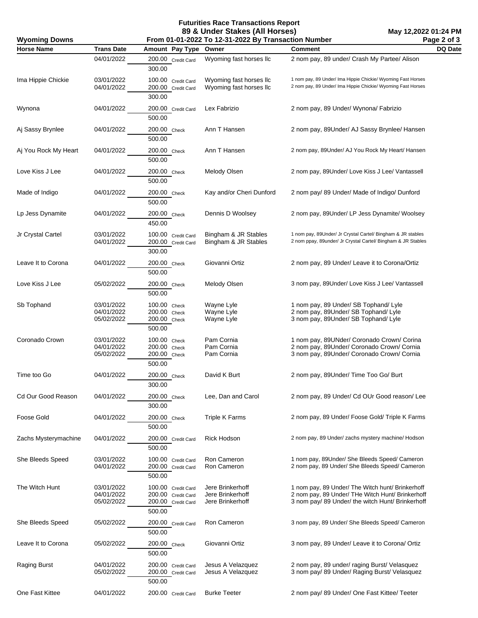**Futurities Race Transactions Report 89 & Under Stakes (All Horses)**

**May 12,2022 01:24 PM Page 2 of 3**

| <b>Wyoming Downs</b> |                                        | From 01-01-2022 To 12-31-2022 By Transaction Number                      | Page 2 of 3                                              |                                                                                                                                                          |         |
|----------------------|----------------------------------------|--------------------------------------------------------------------------|----------------------------------------------------------|----------------------------------------------------------------------------------------------------------------------------------------------------------|---------|
| <b>Horse Name</b>    | <b>Trans Date</b>                      | Amount Pay Type                                                          | Owner                                                    | <b>Comment</b>                                                                                                                                           | DQ Date |
|                      | 04/01/2022                             | 200.00 Credit Card<br>300.00                                             | Wyoming fast horses IIc                                  | 2 nom pay, 89 under/ Crash My Partee/ Alison                                                                                                             |         |
| Ima Hippie Chickie   | 03/01/2022<br>04/01/2022               | 100.00 Credit Card<br>200.00 Credit Card<br>300.00                       | Wyoming fast horses IIc<br>Wyoming fast horses IIc       | 1 nom pay, 89 Under/ Ima Hippie Chickie/ Wyoming Fast Horses<br>2 nom pay, 89 Under/ Ima Hippie Chickie/ Wyoming Fast Horses                             |         |
| Wynona               | 04/01/2022                             | 200.00 Credit Card<br>500.00                                             | Lex Fabrizio                                             | 2 nom pay, 89 Under/ Wynona/ Fabrizio                                                                                                                    |         |
| Aj Sassy Brynlee     | 04/01/2022                             | 200.00 Check<br>500.00                                                   | Ann T Hansen                                             | 2 nom pay, 89Under/ AJ Sassy Brynlee/ Hansen                                                                                                             |         |
| Aj You Rock My Heart | 04/01/2022                             | 200.00 Check<br>500.00                                                   | Ann T Hansen                                             | 2 nom pay, 89Under/ AJ You Rock My Heart/ Hansen                                                                                                         |         |
| Love Kiss J Lee      | 04/01/2022                             | 200.00 Check<br>500.00                                                   | Melody Olsen                                             | 2 nom pay, 89Under/ Love Kiss J Lee/ Vantassell                                                                                                          |         |
| Made of Indigo       | 04/01/2022                             | 200.00 Check<br>500.00                                                   | Kay and/or Cheri Dunford                                 | 2 nom pay/ 89 Under/ Made of Indigo/ Dunford                                                                                                             |         |
| Lp Jess Dynamite     | 04/01/2022                             | 200.00 Check<br>450.00                                                   | Dennis D Woolsey                                         | 2 nom pay, 89Under/ LP Jess Dynamite/ Woolsey                                                                                                            |         |
| Jr Crystal Cartel    | 03/01/2022<br>04/01/2022               | 100.00 Credit Card<br>200.00 Credit Card<br>300.00                       | Bingham & JR Stables<br>Bingham & JR Stables             | 1 nom pay, 89Under/ Jr Crystal Cartel/ Bingham & JR stables<br>2 nom ppay, 89under/ Jr Crystal Cartel/ Bingham & JR Stables                              |         |
| Leave It to Corona   | 04/01/2022                             | 200.00 Check<br>500.00                                                   | Giovanni Ortiz                                           | 2 nom pay, 89 Under/ Leave it to Corona/Ortiz                                                                                                            |         |
| Love Kiss J Lee      | 05/02/2022                             | 200.00 Check<br>500.00                                                   | Melody Olsen                                             | 3 nom pay, 89Under/ Love Kiss J Lee/ Vantassell                                                                                                          |         |
| Sb Tophand           | 03/01/2022<br>04/01/2022<br>05/02/2022 | 100.00 Check<br>200.00 Check<br>$200.00$ Check<br>500.00                 | Wayne Lyle<br>Wayne Lyle<br>Wayne Lyle                   | 1 nom pay, 89 Under/ SB Tophand/ Lyle<br>2 nom pay, 89Under/ SB Tophand/ Lyle<br>3 nom pay, 89Under/ SB Tophand/ Lyle                                    |         |
| Coronado Crown       | 03/01/2022<br>04/01/2022<br>05/02/2022 | 100.00 Check<br>200.00 Check<br>200.00 Check<br>500.00                   | Pam Cornia<br>Pam Cornia<br>Pam Cornia                   | 1 nom pay, 89UNder/ Coronado Crown/ Corina<br>2 nom pay, 89Under/ Coronado Crown/ Cornia<br>3 nom pay, 89Under/ Coronado Crown/ Cornia                   |         |
| Time too Go          | 04/01/2022                             | 200.00 Check<br>300.00                                                   | David K Burt                                             | 2 nom pay, 89Under/Time Too Go/Burt                                                                                                                      |         |
| Cd Our Good Reason   | 04/01/2022                             | 200.00 Check<br>300.00                                                   | Lee, Dan and Carol                                       | 2 nom pay, 89 Under/ Cd OUr Good reason/ Lee                                                                                                             |         |
| Foose Gold           | 04/01/2022                             | 200.00 Check<br>500.00                                                   | <b>Triple K Farms</b>                                    | 2 nom pay, 89 Under/ Foose Gold/ Triple K Farms                                                                                                          |         |
| Zachs Mysterymachine | 04/01/2022                             | 200.00 Credit Card<br>500.00                                             | Rick Hodson                                              | 2 nom pay, 89 Under/ zachs mystery machine/ Hodson                                                                                                       |         |
| She Bleeds Speed     | 03/01/2022<br>04/01/2022               | 100.00 Credit Card<br>200.00 Credit Card<br>500.00                       | Ron Cameron<br>Ron Cameron                               | 1 nom pay, 89Under/ She Bleeds Speed/ Cameron<br>2 nom pay, 89 Under/ She Bleeds Speed/ Cameron                                                          |         |
| The Witch Hunt       | 03/01/2022<br>04/01/2022<br>05/02/2022 | 100.00 Credit Card<br>200.00 Credit Card<br>200.00 Credit Card<br>500.00 | Jere Brinkerhoff<br>Jere Brinkerhoff<br>Jere Brinkerhoff | 1 nom pay, 89 Under/ The Witch hunt/ Brinkerhoff<br>2 nom pay, 89 Under/ THe Witch Hunt/ Brinkerhoff<br>3 nom pay/ 89 Under/ the witch Hunt/ Brinkerhoff |         |
| She Bleeds Speed     | 05/02/2022                             | 200.00 Credit Card<br>500.00                                             | Ron Cameron                                              | 3 nom pay, 89 Under/ She Bleeds Speed/ Cameron                                                                                                           |         |
| Leave It to Corona   | 05/02/2022                             | 200.00 Check<br>500.00                                                   | Giovanni Ortiz                                           | 3 nom pay, 89 Under/ Leave it to Corona/ Ortiz                                                                                                           |         |
| Raging Burst         | 04/01/2022<br>05/02/2022               | 200.00 Credit Card<br>200.00 Credit Card<br>500.00                       | Jesus A Velazquez<br>Jesus A Velazquez                   | 2 nom pay, 89 under/ raging Burst/ Velasquez<br>3 nom pay/ 89 Under/ Raging Burst/ Velasquez                                                             |         |
| One Fast Kittee      | 04/01/2022                             | 200.00 Credit Card                                                       | <b>Burke Teeter</b>                                      | 2 nom pay/ 89 Under/ One Fast Kittee/ Teeter                                                                                                             |         |